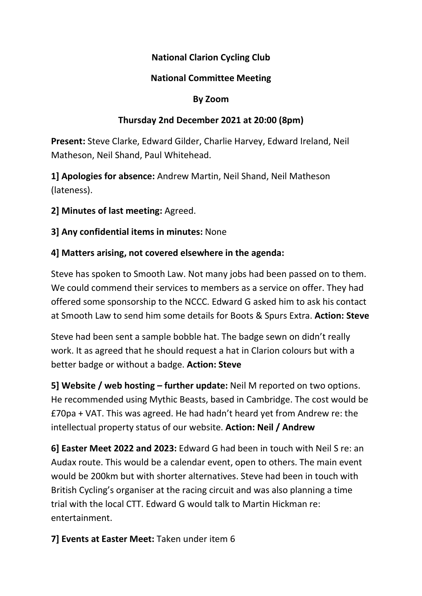## National Clarion Cycling Club

### National Committee Meeting

#### By Zoom

### Thursday 2nd December 2021 at 20:00 (8pm)

Present: Steve Clarke, Edward Gilder, Charlie Harvey, Edward Ireland, Neil Matheson, Neil Shand, Paul Whitehead.

1] Apologies for absence: Andrew Martin, Neil Shand, Neil Matheson (lateness).

2] Minutes of last meeting: Agreed.

3] Any confidential items in minutes: None

### 4] Matters arising, not covered elsewhere in the agenda:

Steve has spoken to Smooth Law. Not many jobs had been passed on to them. We could commend their services to members as a service on offer. They had offered some sponsorship to the NCCC. Edward G asked him to ask his contact at Smooth Law to send him some details for Boots & Spurs Extra. Action: Steve

Steve had been sent a sample bobble hat. The badge sewn on didn't really work. It as agreed that he should request a hat in Clarion colours but with a better badge or without a badge. Action: Steve

5] Website / web hosting – further update: Neil M reported on two options. He recommended using Mythic Beasts, based in Cambridge. The cost would be £70pa + VAT. This was agreed. He had hadn't heard yet from Andrew re: the intellectual property status of our website. Action: Neil / Andrew

6] Easter Meet 2022 and 2023: Edward G had been in touch with Neil S re: an Audax route. This would be a calendar event, open to others. The main event would be 200km but with shorter alternatives. Steve had been in touch with British Cycling's organiser at the racing circuit and was also planning a time trial with the local CTT. Edward G would talk to Martin Hickman re: entertainment.

7] Events at Easter Meet: Taken under item 6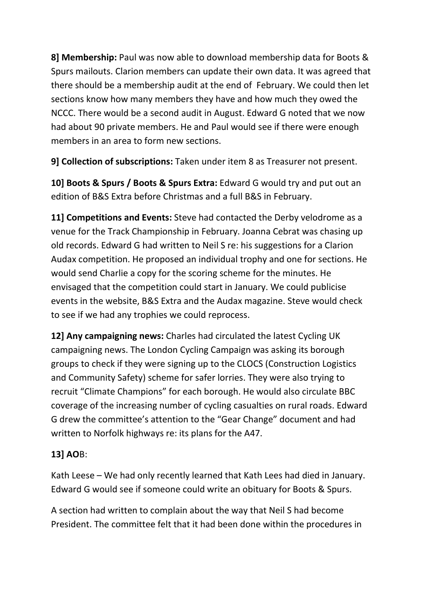8] Membership: Paul was now able to download membership data for Boots & Spurs mailouts. Clarion members can update their own data. It was agreed that there should be a membership audit at the end of February. We could then let sections know how many members they have and how much they owed the NCCC. There would be a second audit in August. Edward G noted that we now had about 90 private members. He and Paul would see if there were enough members in an area to form new sections.

9] Collection of subscriptions: Taken under item 8 as Treasurer not present.

10] Boots & Spurs / Boots & Spurs Extra: Edward G would try and put out an edition of B&S Extra before Christmas and a full B&S in February.

11] Competitions and Events: Steve had contacted the Derby velodrome as a venue for the Track Championship in February. Joanna Cebrat was chasing up old records. Edward G had written to Neil S re: his suggestions for a Clarion Audax competition. He proposed an individual trophy and one for sections. He would send Charlie a copy for the scoring scheme for the minutes. He envisaged that the competition could start in January. We could publicise events in the website, B&S Extra and the Audax magazine. Steve would check to see if we had any trophies we could reprocess.

12] Any campaigning news: Charles had circulated the latest Cycling UK campaigning news. The London Cycling Campaign was asking its borough groups to check if they were signing up to the CLOCS (Construction Logistics and Community Safety) scheme for safer lorries. They were also trying to recruit "Climate Champions" for each borough. He would also circulate BBC coverage of the increasing number of cycling casualties on rural roads. Edward G drew the committee's attention to the "Gear Change" document and had written to Norfolk highways re: its plans for the A47.

# 13] AOB:

Kath Leese – We had only recently learned that Kath Lees had died in January. Edward G would see if someone could write an obituary for Boots & Spurs.

A section had written to complain about the way that Neil S had become President. The committee felt that it had been done within the procedures in